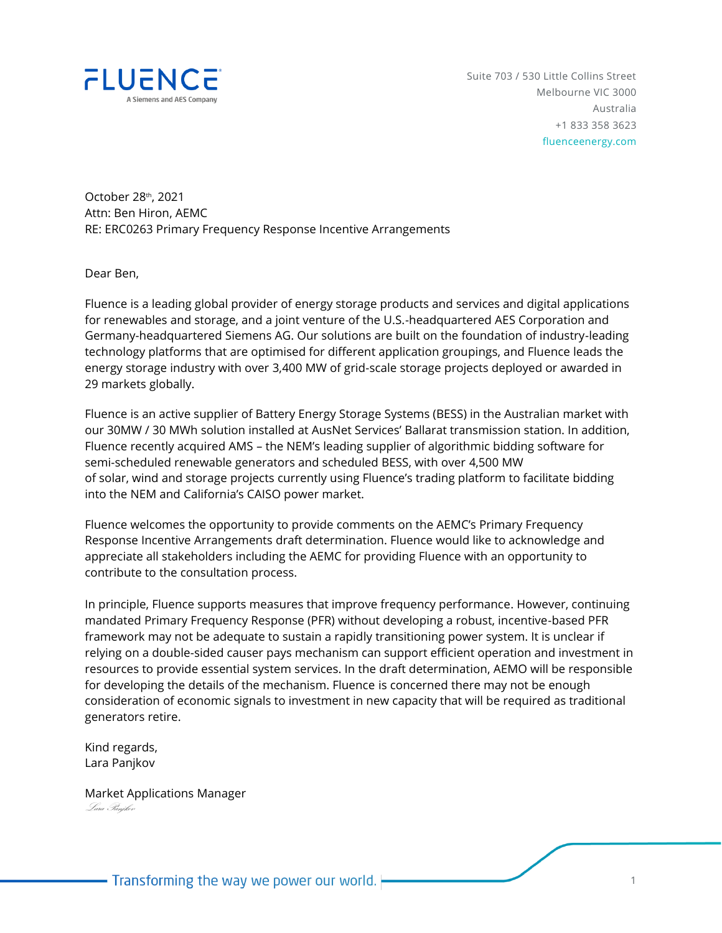

Suite 703 / 530 Little Collins Street Melbourne VIC 3000 Australia +1 833 358 3623 fluenceenergy.com

October 28th, 2021 Attn: Ben Hiron, AEMC RE: ERC0263 Primary Frequency Response Incentive Arrangements

Dear Ben,

Fluence is a leading global provider of energy storage products and services and digital applications for renewables and storage, and a joint venture of the U.S.-headquartered AES Corporation and Germany-headquartered Siemens AG. Our solutions are built on the foundation of industry-leading technology platforms that are optimised for different application groupings, and Fluence leads the energy storage industry with over 3,400 MW of grid-scale storage projects deployed or awarded in 29 markets globally.

Fluence is an active supplier of Battery Energy Storage Systems (BESS) in the Australian market with our 30MW / 30 MWh solution installed at AusNet Services' Ballarat transmission station. In addition, Fluence recently acquired AMS – the NEM's leading supplier of algorithmic bidding software for semi-scheduled renewable generators and scheduled BESS, with over 4,500 MW of solar, wind and storage projects currently using Fluence's trading platform to facilitate bidding into the NEM and California's CAISO power market.

Fluence welcomes the opportunity to provide comments on the AEMC's Primary Frequency Response Incentive Arrangements draft determination. Fluence would like to acknowledge and appreciate all stakeholders including the AEMC for providing Fluence with an opportunity to contribute to the consultation process.

In principle, Fluence supports measures that improve frequency performance. However, continuing mandated Primary Frequency Response (PFR) without developing a robust, incentive-based PFR framework may not be adequate to sustain a rapidly transitioning power system. It is unclear if relying on a double-sided causer pays mechanism can support efficient operation and investment in resources to provide essential system services. In the draft determination, AEMO will be responsible for developing the details of the mechanism. Fluence is concerned there may not be enough consideration of economic signals to investment in new capacity that will be required as traditional generators retire.

Kind regards, Lara Panjkov

Market Applications Manager Lara Panjkov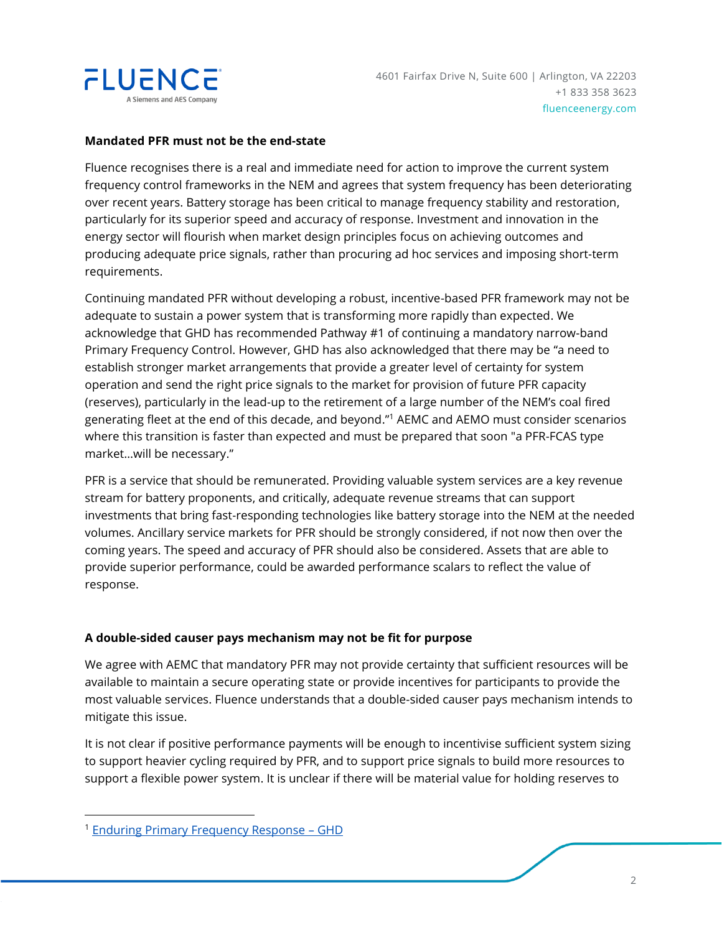

## **Mandated PFR must not be the end-state**

Fluence recognises there is a real and immediate need for action to improve the current system frequency control frameworks in the NEM and agrees that system frequency has been deteriorating over recent years. Battery storage has been critical to manage frequency stability and restoration, particularly for its superior speed and accuracy of response. Investment and innovation in the energy sector will flourish when market design principles focus on achieving outcomes and producing adequate price signals, rather than procuring ad hoc services and imposing short-term requirements.

Continuing mandated PFR without developing a robust, incentive-based PFR framework may not be adequate to sustain a power system that is transforming more rapidly than expected. We acknowledge that GHD has recommended Pathway #1 of continuing a mandatory narrow-band Primary Frequency Control. However, GHD has also acknowledged that there may be "a need to establish stronger market arrangements that provide a greater level of certainty for system operation and send the right price signals to the market for provision of future PFR capacity (reserves), particularly in the lead-up to the retirement of a large number of the NEM's coal fired generating fleet at the end of this decade, and beyond." <sup>1</sup> AEMC and AEMO must consider scenarios where this transition is faster than expected and must be prepared that soon "a PFR-FCAS type market…will be necessary."

PFR is a service that should be remunerated. Providing valuable system services are a key revenue stream for battery proponents, and critically, adequate revenue streams that can support investments that bring fast-responding technologies like battery storage into the NEM at the needed volumes. Ancillary service markets for PFR should be strongly considered, if not now then over the coming years. The speed and accuracy of PFR should also be considered. Assets that are able to provide superior performance, could be awarded performance scalars to reflect the value of response.

## **A double-sided causer pays mechanism may not be fit for purpose**

We agree with AEMC that mandatory PFR may not provide certainty that sufficient resources will be available to maintain a secure operating state or provide incentives for participants to provide the most valuable services. Fluence understands that a double-sided causer pays mechanism intends to mitigate this issue.

It is not clear if positive performance payments will be enough to incentivise sufficient system sizing to support heavier cycling required by PFR, and to support price signals to build more resources to support a flexible power system. It is unclear if there will be material value for holding reserves to

<sup>&</sup>lt;sup>1</sup> [Enduring Primary Frequency Response](https://www.aemc.gov.au/sites/default/files/2021-09/GHD_Enduring%20Primary%20Frequency%20Response%20Final%20Report%20Final.pdf) - GHD